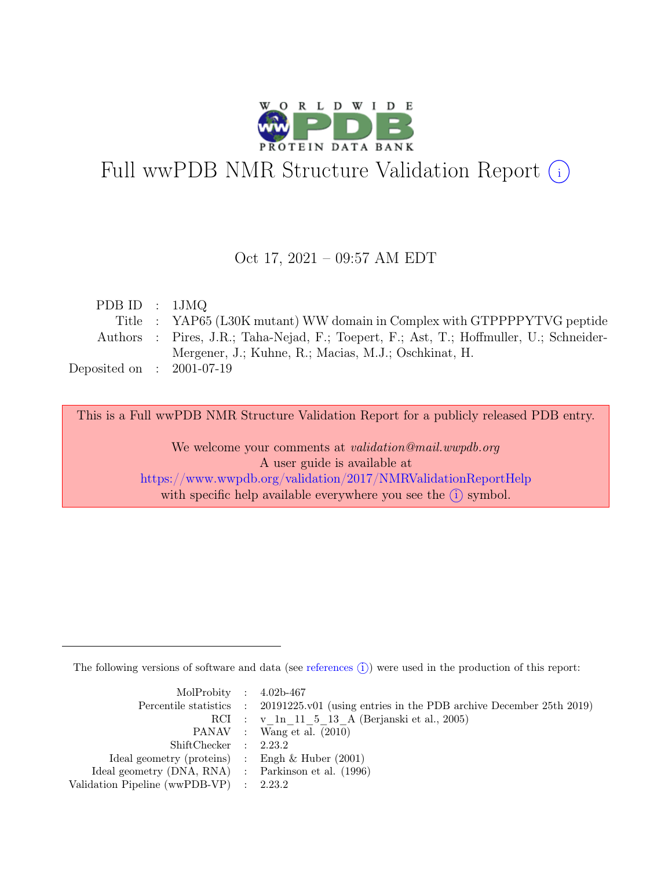

# Full wwPDB NMR Structure Validation Report (i)

#### Oct 17, 2021 – 09:57 AM EDT

| PDBID : 1JMQ                |                                                                                         |
|-----------------------------|-----------------------------------------------------------------------------------------|
|                             | Title : YAP65 (L30K mutant) WW domain in Complex with GTPPPPYTVG peptide                |
|                             | Authors : Pires, J.R.; Taha-Nejad, F.; Toepert, F.; Ast, T.; Hoffmuller, U.; Schneider- |
|                             | Mergener, J.; Kuhne, R.; Macias, M.J.; Oschkinat, H.                                    |
| Deposited on : $2001-07-19$ |                                                                                         |

This is a Full wwPDB NMR Structure Validation Report for a publicly released PDB entry.

We welcome your comments at *validation@mail.wwpdb.org* A user guide is available at <https://www.wwpdb.org/validation/2017/NMRValidationReportHelp> with specific help available everywhere you see the  $(i)$  symbol.

The following versions of software and data (see [references](https://www.wwpdb.org/validation/2017/NMRValidationReportHelp#references)  $\hat{I}$ ) were used in the production of this report:

| MolProbity : $4.02b-467$                            |                                                                                            |
|-----------------------------------------------------|--------------------------------------------------------------------------------------------|
|                                                     | Percentile statistics : 20191225.v01 (using entries in the PDB archive December 25th 2019) |
|                                                     | RCI : v 1n 11 5 13 A (Berjanski et al., 2005)                                              |
|                                                     | PANAV : Wang et al. (2010)                                                                 |
| ShiftChecker : 2.23.2                               |                                                                                            |
| Ideal geometry (proteins) : Engh $\&$ Huber (2001)  |                                                                                            |
| Ideal geometry (DNA, RNA) : Parkinson et al. (1996) |                                                                                            |
| Validation Pipeline (wwPDB-VP) : $2.23.2$           |                                                                                            |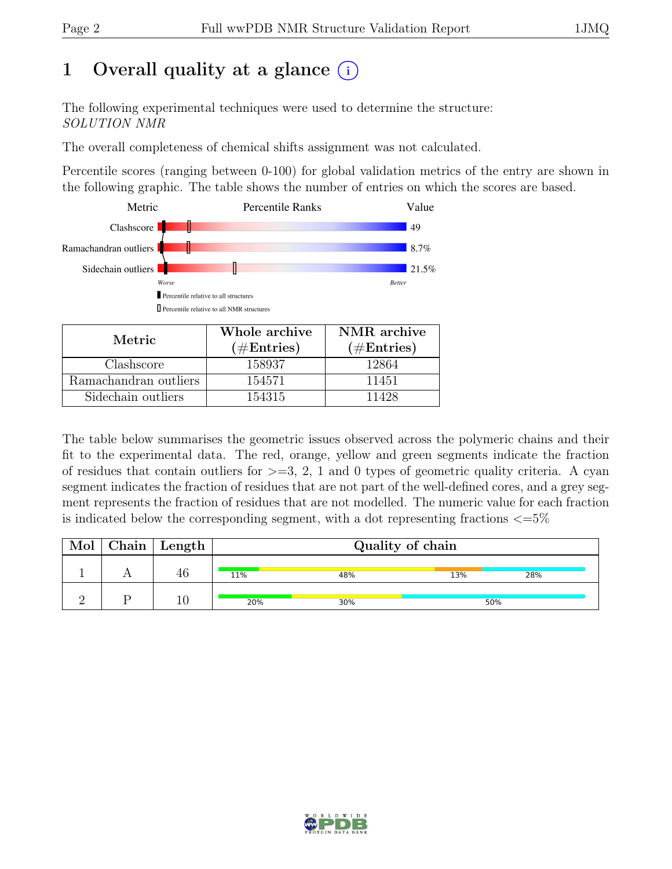# 1 Overall quality at a glance  $(i)$

The following experimental techniques were used to determine the structure: SOLUTION NMR

The overall completeness of chemical shifts assignment was not calculated.

Percentile scores (ranging between 0-100) for global validation metrics of the entry are shown in the following graphic. The table shows the number of entries on which the scores are based.



| Metric.               | Whole archive<br>$(\#Entries)$ | NMR archive<br>$(\#Entries)$ |
|-----------------------|--------------------------------|------------------------------|
| Clashscore            | 158937                         | 12864                        |
| Ramachandran outliers | 154571                         | 11451                        |
| Sidechain outliers    | 154315                         | 11428                        |

The table below summarises the geometric issues observed across the polymeric chains and their fit to the experimental data. The red, orange, yellow and green segments indicate the fraction of residues that contain outliers for  $>=$  3, 2, 1 and 0 types of geometric quality criteria. A cyan segment indicates the fraction of residues that are not part of the well-defined cores, and a grey segment represents the fraction of residues that are not modelled. The numeric value for each fraction is indicated below the corresponding segment, with a dot representing fractions  $\langle=5\%$ 

| Mol | $\vert$ Chain $\vert$ Length $\vert$ | Quality of chain |     |     |     |  |
|-----|--------------------------------------|------------------|-----|-----|-----|--|
|     |                                      | 11%              | 48% | 13% | 28% |  |
|     |                                      | 20%              | 30% |     | 50% |  |

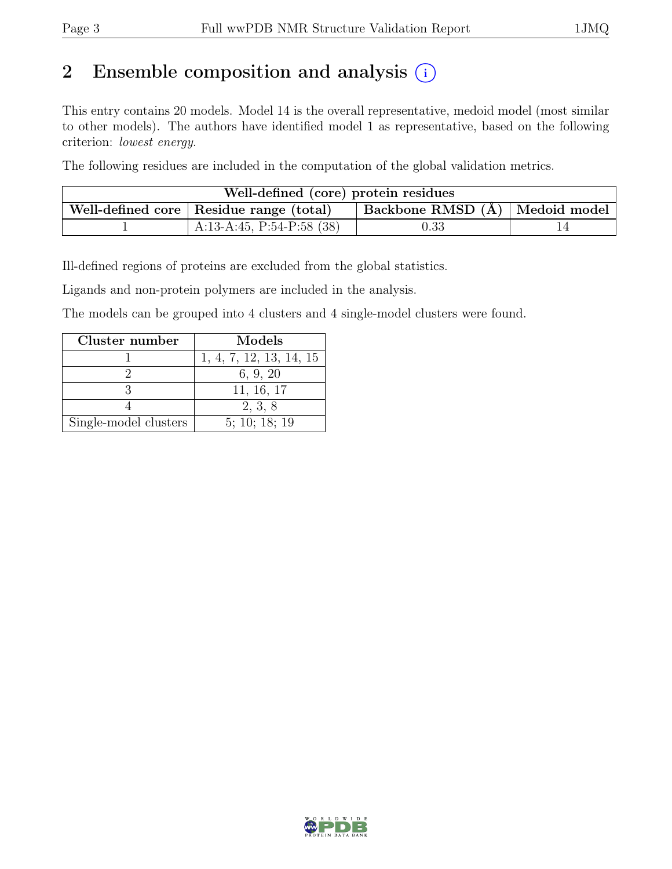# 2 Ensemble composition and analysis  $(i)$

This entry contains 20 models. Model 14 is the overall representative, medoid model (most similar to other models). The authors have identified model 1 as representative, based on the following criterion: lowest energy.

The following residues are included in the computation of the global validation metrics.

| Well-defined (core) protein residues |                                           |                                        |  |  |  |  |
|--------------------------------------|-------------------------------------------|----------------------------------------|--|--|--|--|
|                                      | Well-defined core   Residue range (total) | $ $ Backbone RMSD $(A)$   Medoid model |  |  |  |  |
|                                      | A:13-A:45, P:54-P:58 $(38)$               | $\rm 0.33$                             |  |  |  |  |

Ill-defined regions of proteins are excluded from the global statistics.

Ligands and non-protein polymers are included in the analysis.

The models can be grouped into 4 clusters and 4 single-model clusters were found.

| Cluster number        | Models                  |
|-----------------------|-------------------------|
|                       | 1, 4, 7, 12, 13, 14, 15 |
|                       | 6, 9, 20                |
|                       | 11, 16, 17              |
|                       | 2, 3, 8                 |
| Single-model clusters | 5; 10; 18; 19           |

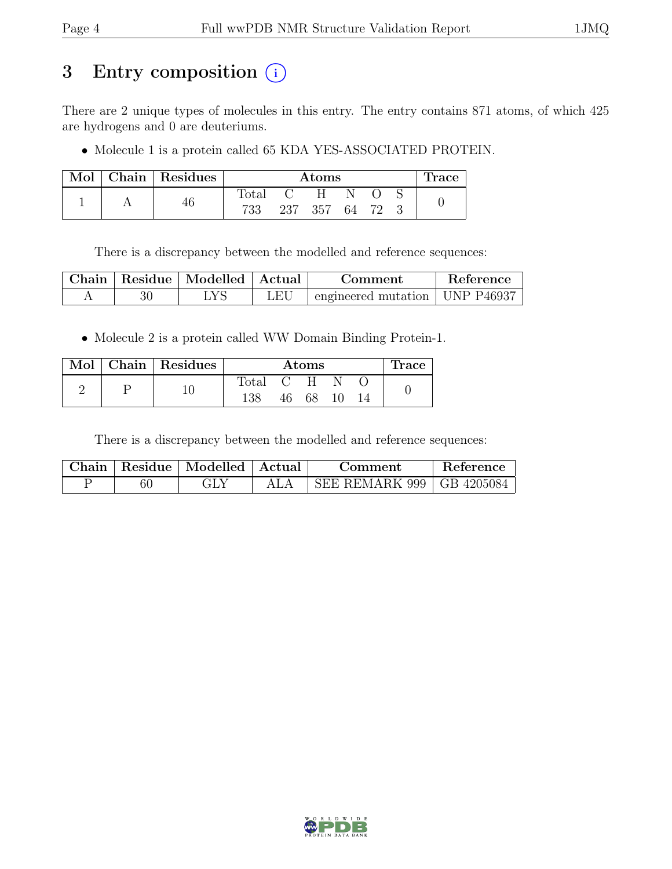# 3 Entry composition (i)

There are 2 unique types of molecules in this entry. The entry contains 871 atoms, of which 425 are hydrogens and 0 are deuteriums.

• Molecule 1 is a protein called 65 KDA YES-ASSOCIATED PROTEIN.

| $\operatorname{Mol}$ |    | $\vert$ Chain $\vert$ Residues |                | Atoms |  |  | <b>Trace</b> |
|----------------------|----|--------------------------------|----------------|-------|--|--|--------------|
|                      |    |                                | $_{\rm Total}$ | H     |  |  |              |
|                      | 40 | 733                            | 237 357        | 64    |  |  |              |

There is a discrepancy between the modelled and reference sequences:

|  | Chain   Residue   Modelled   Actual |     | Comment                                          | Reference |
|--|-------------------------------------|-----|--------------------------------------------------|-----------|
|  | LYS.                                | LEU | $\pm$ engineered mutation $\pm$ UNP P46937 $\pm$ |           |

• Molecule 2 is a protein called WW Domain Binding Protein-1.

|  |  | Mol   Chain   Residues | Atoms |       |  | Trace |  |
|--|--|------------------------|-------|-------|--|-------|--|
|  |  |                        | Total | $C-H$ |  |       |  |
|  |  | 138                    | 46    | 68    |  |       |  |

There is a discrepancy between the modelled and reference sequences:

|  | Chain   Residue   Modelled   Actual | Comment                     | Reference |
|--|-------------------------------------|-----------------------------|-----------|
|  |                                     | SEE REMARK 999   GB 4205084 |           |

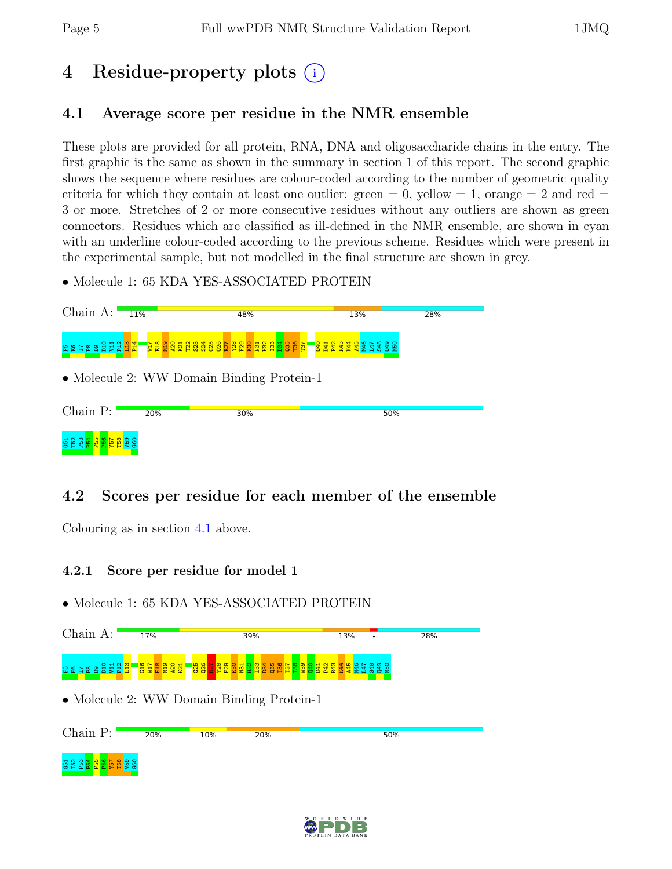# 4 Residue-property plots (i)

### <span id="page-4-0"></span>4.1 Average score per residue in the NMR ensemble

These plots are provided for all protein, RNA, DNA and oligosaccharide chains in the entry. The first graphic is the same as shown in the summary in section 1 of this report. The second graphic shows the sequence where residues are colour-coded according to the number of geometric quality criteria for which they contain at least one outlier: green  $= 0$ , yellow  $= 1$ , orange  $= 2$  and red  $=$ 3 or more. Stretches of 2 or more consecutive residues without any outliers are shown as green connectors. Residues which are classified as ill-defined in the NMR ensemble, are shown in cyan with an underline colour-coded according to the previous scheme. Residues which were present in the experimental sample, but not modelled in the final structure are shown in grey.

• Molecule 1: 65 KDA YES-ASSOCIATED PROTEIN



### 4.2 Scores per residue for each member of the ensemble

Colouring as in section [4.1](#page-4-0) above.

#### 4.2.1 Score per residue for model 1



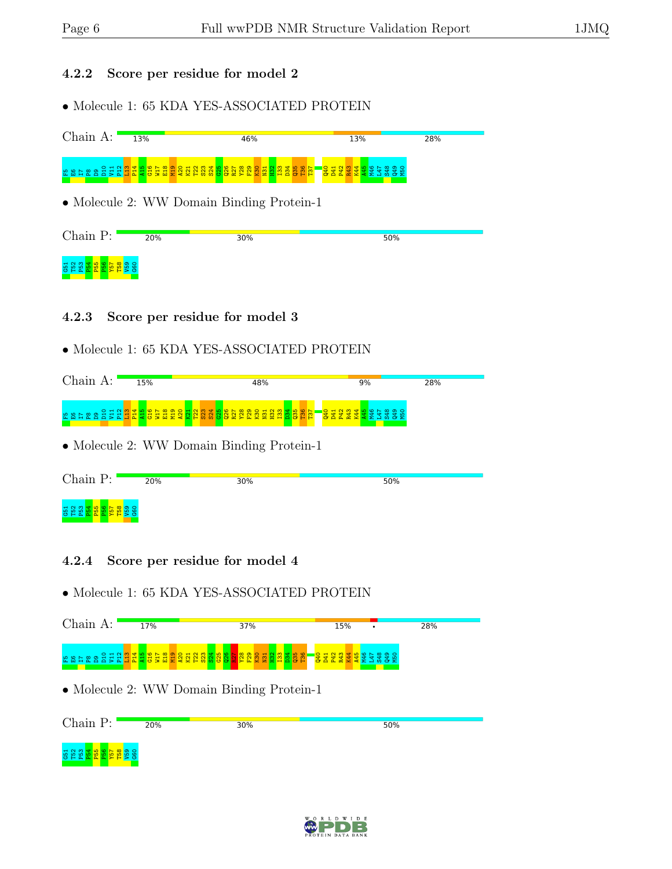#### 4.2.2 Score per residue for model 2

• Molecule 1: 65 KDA YES-ASSOCIATED PROTEIN



#### 4.2.3 Score per residue for model 3

#### • Molecule 1: 65 KDA YES-ASSOCIATED PROTEIN

| $Chain A$ : | 15% | 48%                                                                                                                                                                                                                              | 9% | 28% |
|-------------|-----|----------------------------------------------------------------------------------------------------------------------------------------------------------------------------------------------------------------------------------|----|-----|
|             |     | ្រុង ក្នុង ក្នុង ក្នុង ក្នុង ក្នុង ក្នុង ក្នុង ក្នុង ក្នុង ក្នុង ក្នុង ក្នុង ក្នុង ក្នុង ក្នុង ក្នុង ក្នុង ក្ន<br>ក្នុង ក្នុង ក្នុង ក្នុង ក្នុង ក្នុង ក្នុង ក្នុង ក្នុង ក្នុង ក្នុង ក្នុង ក្នុង ក្នុង ក្នុង ក្នុង ក្នុង ក្នុង ក្ |    |     |
|             |     | • Molecule 2: WW Domain Binding Protein-1                                                                                                                                                                                        |    |     |

| Chain P:                                                   | 20% | 30% | 50% |  |
|------------------------------------------------------------|-----|-----|-----|--|
| ទូនាំង <mark>នាង ន</mark> ិងដូន្ទ<br>ទី១៩ <mark>ដែល</mark> |     |     |     |  |

#### 4.2.4 Score per residue for model 4



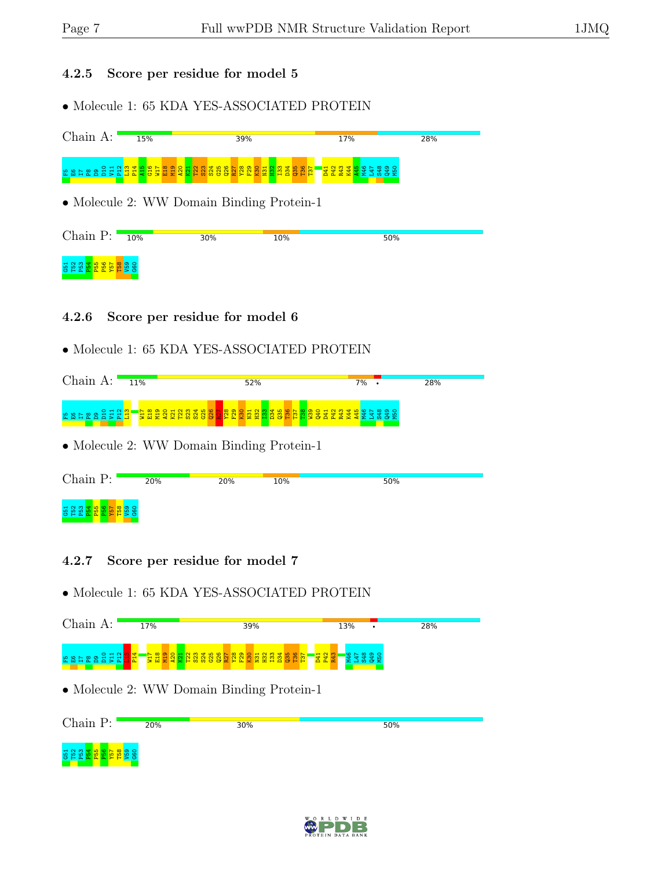#### 4.2.5 Score per residue for model 5

• Molecule 1: 65 KDA YES-ASSOCIATED PROTEIN





| • Molecule 2: WW Domain Binding Protein-1 |  |  |
|-------------------------------------------|--|--|
|                                           |  |  |

| Chain P:   | 20% | 20% | 10% | 50% |
|------------|-----|-----|-----|-----|
| <b>G51</b> |     |     |     |     |

#### 4.2.7 Score per residue for model 7



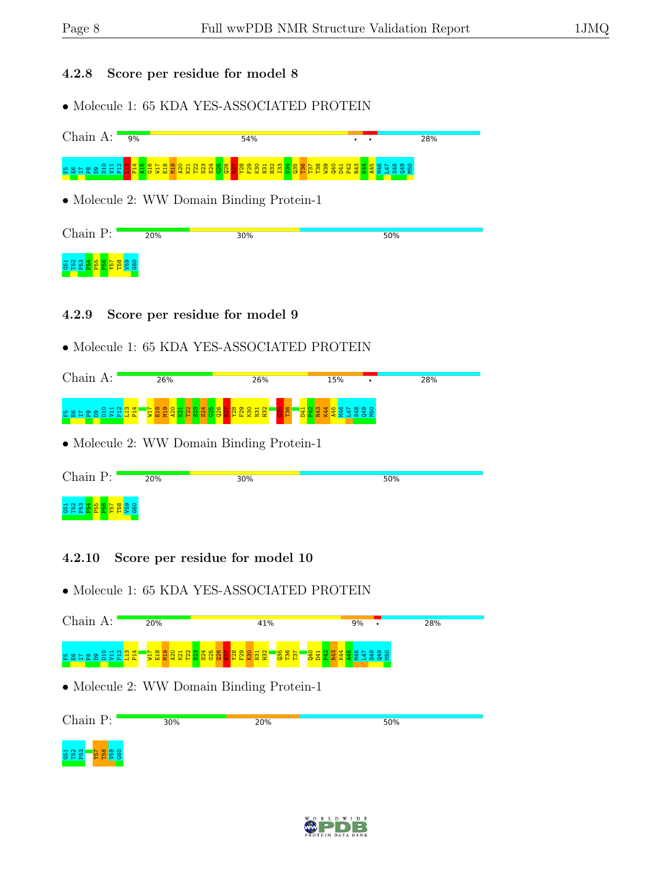#### 4.2.8 Score per residue for model 8

• Molecule 1: 65 KDA YES-ASSOCIATED PROTEIN

| Chain A:                                  | 9%  | 54%                                                                                                                   |     | 28% |  |  |  |  |  |  |
|-------------------------------------------|-----|-----------------------------------------------------------------------------------------------------------------------|-----|-----|--|--|--|--|--|--|
|                                           |     | ត្ត<br>ក្នុង ក្នុង ក្នុង ក្នុង ក្នុង ក្នុង ក្នុង ក្នុង ក្នុង ក្នុង ក្នុង ក្នុង ក្នុង ក្នុង ក្នុង ក្នុង ក្នុង ក្នុង ក្ |     |     |  |  |  |  |  |  |
| • Molecule 2: WW Domain Binding Protein-1 |     |                                                                                                                       |     |     |  |  |  |  |  |  |
| Chain P:                                  | 20% | 30%                                                                                                                   | 50% |     |  |  |  |  |  |  |
| 55<br>552                                 |     |                                                                                                                       |     |     |  |  |  |  |  |  |

#### 4.2.9 Score per residue for model 9

#### • Molecule 1: 65 KDA YES-ASSOCIATED PROTEIN

| Chain                    | 26%                                                      | 26%                                                                                                        | 15% | 28% |
|--------------------------|----------------------------------------------------------|------------------------------------------------------------------------------------------------------------|-----|-----|
| O H N M<br>없 없<br>-<br>— | <b>Read</b><br>ထ<br>Ñ<br>$H$ $H$<br><b>ΙΩ</b><br>×.<br>۰ | <b>RO.</b><br> ပ္တ<br>$\mathbf{H}$ NI<br>$\blacksquare$<br><b>222</b><br>р<br>ь.<br><b>The State State</b> |     |     |

• Molecule 2: WW Domain Binding Protein-1

| Chain P:                | 20% | 30% | 50% |
|-------------------------|-----|-----|-----|
| <b>ដ ដ ដ</b><br>$C$ $H$ |     |     |     |

#### 4.2.10 Score per residue for model 10

| Chain A:                                                          | 20%                    | 41%                                                                                | 9%<br>٠ | 28% |  |  |  |  |  |  |
|-------------------------------------------------------------------|------------------------|------------------------------------------------------------------------------------|---------|-----|--|--|--|--|--|--|
| '금입 <mark>음걸</mark> '<br><mark>도요음</mark><br>$\frac{1}{2}$<br>222 | <b>ERESSENSSENSSEN</b> | <mark>ed Range</mark> Shang<br><mark>Barang</mark> Shange<br><mark>ីខ្លួន ដ</mark> |         |     |  |  |  |  |  |  |
| • Molecule 2: WW Domain Binding Protein-1                         |                        |                                                                                    |         |     |  |  |  |  |  |  |
| Chain P:                                                          | 30%                    | 20%                                                                                | 50%     |     |  |  |  |  |  |  |
| O <sub>3</sub> d                                                  |                        |                                                                                    |         |     |  |  |  |  |  |  |

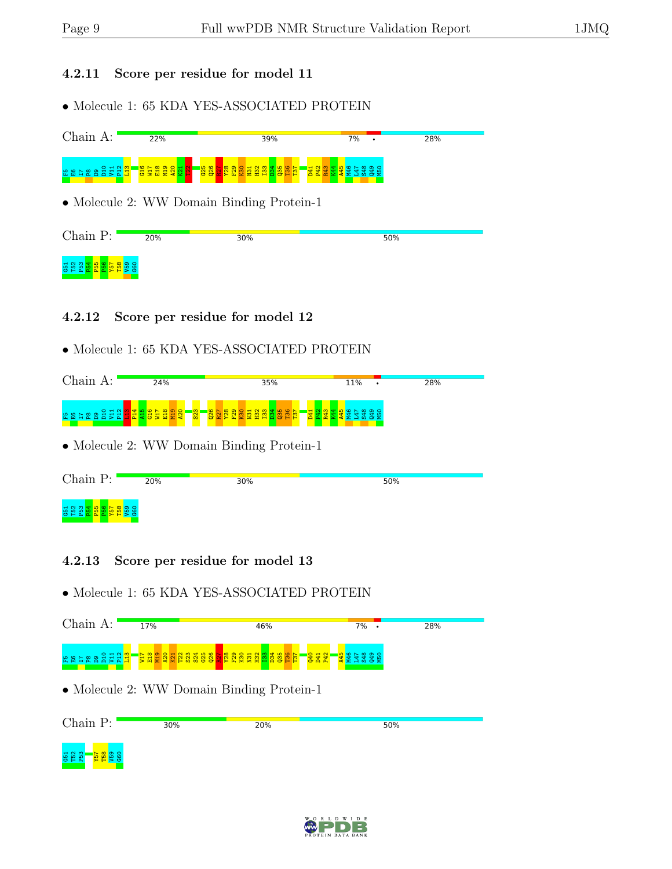#### 4.2.11 Score per residue for model 11

• Molecule 1: 65 KDA YES-ASSOCIATED PROTEIN



#### • Molecule 1: 65 KDA YES-ASSOCIATED PROTEIN



• Molecule 2: WW Domain Binding Protein-1

| Chain P:                         | 20% | 30% | 50% |
|----------------------------------|-----|-----|-----|
| <b>552</b><br>PS2<br>$A$ $A$ $A$ |     |     |     |

#### 4.2.13 Score per residue for model 13

| Chain A:                                  | 17%                                                           | 46%                                                    | $7\%$ .                          | 28% |  |  |  |  |  |
|-------------------------------------------|---------------------------------------------------------------|--------------------------------------------------------|----------------------------------|-----|--|--|--|--|--|
|                                           | 3338827<br>SEN<br>SER<br>$\frac{120}{15}$<br>$\overline{122}$ | <mark>공화 없</mark><br><b><u>និន្ននីឌីនីនីនីនីដី</u></b> | <b>REAR SE</b><br><b>REAR SE</b> |     |  |  |  |  |  |
| • Molecule 2: WW Domain Binding Protein-1 |                                                               |                                                        |                                  |     |  |  |  |  |  |
| Chain P:                                  | 30%                                                           | 20%                                                    | 50%                              |     |  |  |  |  |  |
| <b>52</b><br>52<br>553<br>င္ဟ             |                                                               |                                                        |                                  |     |  |  |  |  |  |

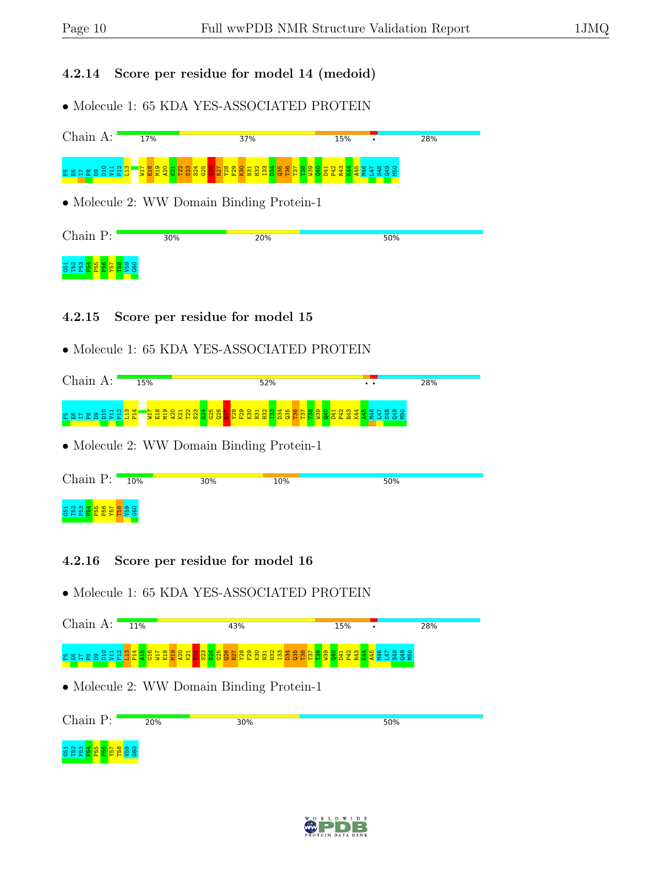#### 4.2.14 Score per residue for model 14 (medoid)

• Molecule 1: 65 KDA YES-ASSOCIATED PROTEIN



#### 4.2.15 Score per residue for model 15

#### • Molecule 1: 65 KDA YES-ASSOCIATED PROTEIN

| Chain A:                                  | 15% |  |  |  |  | 52% |  |  |  |  |  | $\ddot{\phantom{a}}$ |  |  | 28% |  |  |
|-------------------------------------------|-----|--|--|--|--|-----|--|--|--|--|--|----------------------|--|--|-----|--|--|
|                                           |     |  |  |  |  |     |  |  |  |  |  |                      |  |  |     |  |  |
| • Molecule 2: WW Domain Binding Protein-1 |     |  |  |  |  |     |  |  |  |  |  |                      |  |  |     |  |  |

| Chain P:                                                            | 10% | 30% | 10% | 50% |
|---------------------------------------------------------------------|-----|-----|-----|-----|
| និន្ន្ទី និងមន្ត្រី និន្ទី<br>ខេត្ត <mark>និងមន្ត្រី និ</mark> ន្ទី |     |     |     |     |

#### 4.2.16 Score per residue for model 16



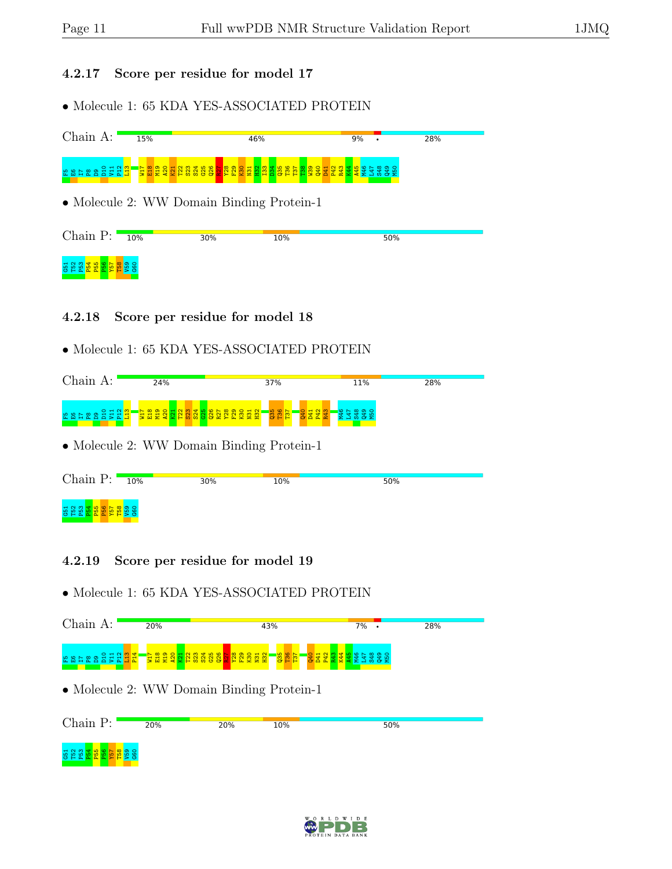#### 4.2.17 Score per residue for model 17

• Molecule 1: 65 KDA YES-ASSOCIATED PROTEIN



#### 4.2.18 Score per residue for model 18

#### • Molecule 1: 65 KDA YES-ASSOCIATED PROTEIN



| Chain $P:$                              | 10% | 30% | 10% | 50% |
|-----------------------------------------|-----|-----|-----|-----|
| ទំនួ <mark>នដី និង ដី</mark> និង ដី និង |     |     |     |     |

#### 4.2.19 Score per residue for model 19



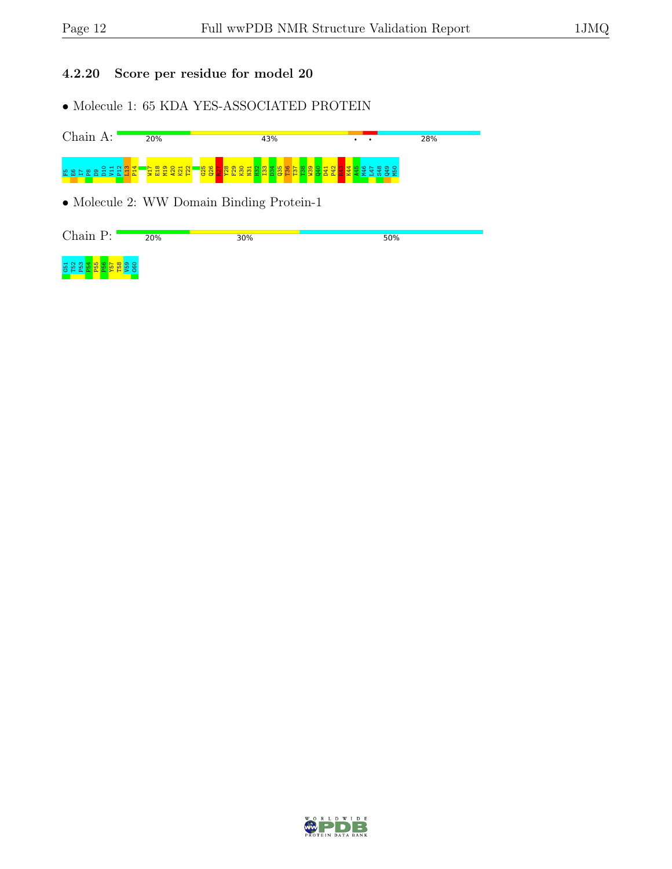#### 4.2.20 Score per residue for model 20

• Molecule 1: 65 KDA YES-ASSOCIATED PROTEIN



Chain P:  $20%$  $50%$ 30% 5<br>5 P5 P5<br>5 P5 T58 و<br>ا G60

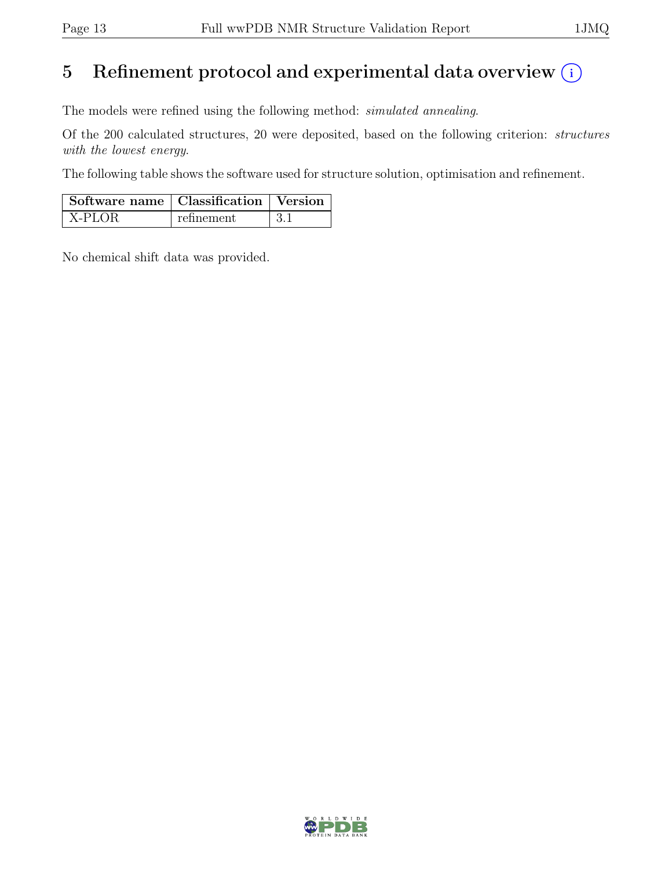# 5 Refinement protocol and experimental data overview  $(i)$

The models were refined using the following method: simulated annealing.

Of the 200 calculated structures, 20 were deposited, based on the following criterion: structures with the lowest energy.

The following table shows the software used for structure solution, optimisation and refinement.

| Software name   Classification   Version |            |  |  |  |
|------------------------------------------|------------|--|--|--|
| $\vert$ X-PLOR                           | refinement |  |  |  |

No chemical shift data was provided.

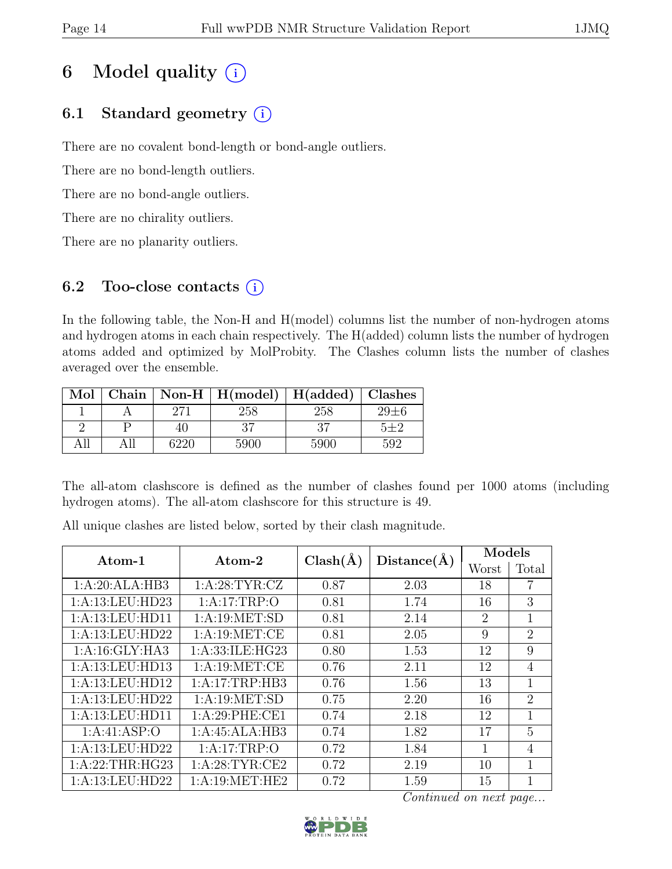# 6 Model quality  $(i)$

# 6.1 Standard geometry  $(i)$

There are no covalent bond-length or bond-angle outliers.

There are no bond-length outliers.

There are no bond-angle outliers.

There are no chirality outliers.

There are no planarity outliers.

### 6.2 Too-close contacts  $(i)$

In the following table, the Non-H and H(model) columns list the number of non-hydrogen atoms and hydrogen atoms in each chain respectively. The H(added) column lists the number of hydrogen atoms added and optimized by MolProbity. The Clashes column lists the number of clashes averaged over the ensemble.

| Mol |      | Chain   Non-H   $H(model)$   $H(added)$   Clashes |      |            |
|-----|------|---------------------------------------------------|------|------------|
|     |      | 258                                               | 258  | $29 \pm 6$ |
|     |      |                                                   |      | 5+2        |
|     | 6220 | 5900                                              | 5900 | 592        |

The all-atom clashscore is defined as the number of clashes found per 1000 atoms (including hydrogen atoms). The all-atom clashscore for this structure is 49.

All unique clashes are listed below, sorted by their clash magnitude.

| Atom-1          | $\rm{Atom}\text{-}2$ | $Clash(\AA)$ | Distance(A) | Models         |                             |
|-----------------|----------------------|--------------|-------------|----------------|-----------------------------|
|                 |                      |              |             | Worst          | Total                       |
| 1:A:20:ALA:HB3  | 1: A:28:TYR:CZ       | 0.87         | 2.03        | 18             | 7                           |
| 1:A:13:LEU:HD23 | 1:A:17:TRP:O         | 0.81         | 1.74        | 16             | 3                           |
| 1:A:13:LEU:HD11 | 1: A: 19: MET: SD    | 0.81         | 2.14        | $\overline{2}$ | 1                           |
| 1:A:13:LEU:HD22 | 1:A:19:MET:CE        | 0.81         | 2.05        | 9              | $\overline{2}$              |
| 1:A:16:GLY:HA3  | 1: A:33: ILE: HG23   | 0.80         | 1.53        | 12             | 9                           |
| 1:A:13:LEU:HD13 | 1: A: 19: MET:CE     | 0.76         | 2.11        | 12             | $\overline{4}$              |
| 1:A:13:LEU:HD12 | 1:A:17:TRP:HB3       | 0.76         | 1.56        | 13             | 1                           |
| 1:A:13:LEU:HD22 | 1: A:19: MET:SD      | 0.75         | 2.20        | 16             | $\mathcal{D}_{\mathcal{L}}$ |
| 1:A:13:LEU:HD11 | 1:A:29:PHE:CE1       | 0.74         | 2.18        | 12             | 1                           |
| 1: A:41: ASP:O  | 1:A:45:ALA:HB3       | 0.74         | 1.82        | 17             | 5                           |
| 1:A:13:LEU:HD22 | 1:A:17:TRP:O         | 0.72         | 1.84        | 1              | $\overline{4}$              |
| 1:A:22:THR:HG23 | 1: A:28:TYR:CE2      | 0.72         | 2.19        | 10             | 1                           |
| 1:A:13:LEU:HD22 | 1: A:19: MET:HE2     | 0.72         | 1.59        | 15             | 1                           |

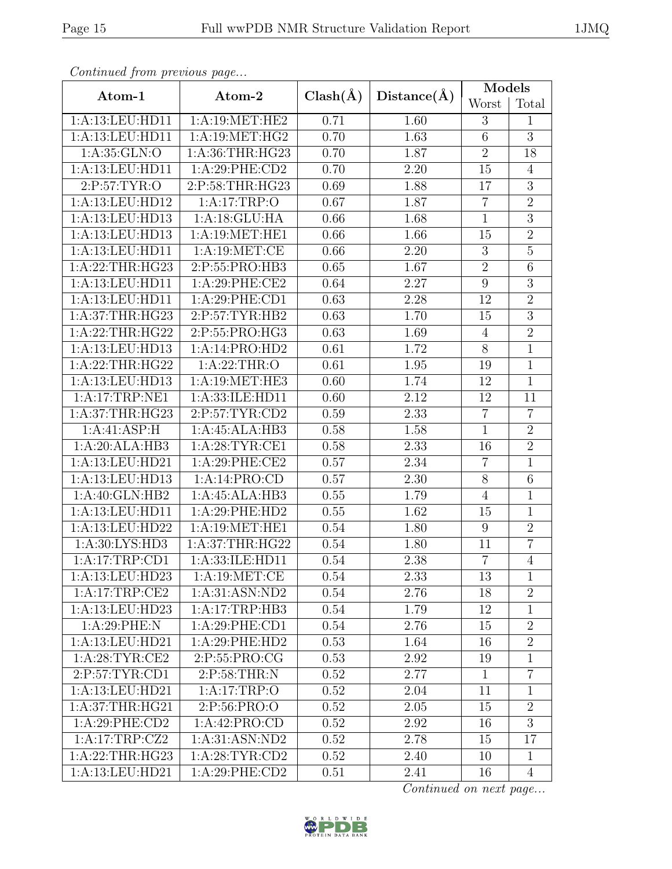| Atom-1           | Atom-2           | $Clash(\AA)$      | Distance(A) | Models         |                |
|------------------|------------------|-------------------|-------------|----------------|----------------|
|                  |                  |                   |             | Worst          | Total          |
| 1:A:13:LEU:HD11  | 1: A:19: MET:HE2 | 0.71              | 1.60        | 3              | $\mathbf{1}$   |
| 1:A:13:LEU:HD11  | 1:A:19:MET:HG2   | 0.70              | 1.63        | $\overline{6}$ | $\overline{3}$ |
| 1: A:35: GLN:O   | 1: A:36:THR:HG23 | 0.70              | 1.87        | $\overline{2}$ | 18             |
| 1:A:13:LEU:HD11  | 1:A:29:PHE:CD2   | 0.70              | 2.20        | 15             | $\overline{4}$ |
| 2:P:57:TYR:O     | 2:P:58:THR:HG23  | 0.69              | 1.88        | 17             | 3              |
| 1:A:13:LEU:HD12  | 1:A:17:TRP:O     | 0.67              | 1.87        | $\overline{7}$ | $\overline{2}$ |
| 1:A:13:LEU:HD13  | 1:A:18:GLU:HA    | 0.66              | 1.68        | $\mathbf{1}$   | $\overline{3}$ |
| 1:A:13:LEU:HD13  | 1:A:19:MET:HE1   | 0.66              | 1.66        | 15             | $\overline{2}$ |
| 1:A:13:LEU:HD11  | 1:A:19:MET:CE    | 0.66              | 2.20        | 3              | $\overline{5}$ |
| 1:A:22:THR:HG23  | 2:P:55:PRO:HB3   | 0.65              | 1.67        | $\overline{2}$ | $\overline{6}$ |
| 1:A:13:LEU:HD11  | 1:A:29:PHE:CE2   | 0.64              | 2.27        | $\overline{9}$ | $\overline{3}$ |
| 1:A:13:LEU:HD11  | 1:A:29:PHE:CD1   | 0.63              | 2.28        | 12             | $\overline{2}$ |
| 1: A:37:THR:HG23 | 2:P:57:TYR:HB2   | 0.63              | 1.70        | 15             | $\overline{3}$ |
| 1:A:22:THR:HG22  | 2:P:55:PRO:HG3   | 0.63              | 1.69        | $\overline{4}$ | $\overline{2}$ |
| 1:A:13:LEU:HD13  | 1:A:14:PRO:HD2   | 0.61              | 1.72        | 8              | $\mathbf{1}$   |
| 1:A:22:THR:HG22  | 1:A:22:THR:O     | $0.\overline{61}$ | 1.95        | 19             | $\overline{1}$ |
| 1:A:13:LEU:HD13  | 1:A:19:MET:HE3   | 0.60              | 1.74        | 12             | $\mathbf{1}$   |
| 1:A:17:TRP:NE1   | 1:A:33:ILE:HD11  | 0.60              | 2.12        | 12             | 11             |
| 1: A:37:THR:HG23 | 2:P:57:TYR:CD2   | 0.59              | 2.33        | $\overline{7}$ | $\overline{7}$ |
| 1:A:41:ASP:H     | 1:A:45:ALA:HB3   | 0.58              | 1.58        | $\mathbf{1}$   | $\overline{2}$ |
| 1:A:20:ALA:HB3   | 1: A:28:TYR:CE1  | 0.58              | 2.33        | 16             | $\overline{2}$ |
| 1:A:13:LEU:HD21  | 1:A:29:PHE:CE2   | 0.57              | 2.34        | $\overline{7}$ | $\mathbf{1}$   |
| 1:A:13:LEU:HD13  | 1:A:14:PRO:CD    | 0.57              | 2.30        | 8              | $\overline{6}$ |
| 1:A:40:GLN:HB2   | 1:A:45:ALA:HB3   | 0.55              | 1.79        | $\overline{4}$ | $\mathbf{1}$   |
| 1:A:13:LEU:HD11  | 1:A:29:PHE:HD2   | 0.55              | 1.62        | 15             | $\mathbf{1}$   |
| 1:A:13:LEU:HD22  | 1:A:19:MET:HE1   | 0.54              | 1.80        | 9              | $\overline{2}$ |
| 1:A:30:LYS:HD3   | 1: A:37:THR:HG22 | 0.54              | 1.80        | 11             | $\overline{7}$ |
| 1:A:17:TRP:CD1   | 1:A:33:ILE:HD11  | 0.54              | 2.38        | $\overline{7}$ | $\overline{4}$ |
| 1:A:13:LEU:HD23  | 1: A: 19: MET:CE | 0.54              | 2.33        | 13             | $\mathbf{1}$   |
| 1:A:17:TRP:CE2   | 1:A:31:ASN:ND2   | 0.54              | 2.76        | 18             | $\overline{2}$ |
| 1:A:13:LEU:HD23  | 1:A:17:TRP:HB3   | 0.54              | 1.79        | 12             | $\mathbf{1}$   |
| 1: A:29:PHE:N    | 1:A:29:PHE:CD1   | 0.54              | 2.76        | 15             | $\overline{2}$ |
| 1:A:13:LEU:HD21  | 1:A:29:PHE:HD2   | 0.53              | 1.64        | 16             | $\overline{2}$ |
| 1: A:28:TYR:CE2  | 2:P:55:PRO:CG    | 0.53              | 2.92        | 19             | $\mathbf{1}$   |
| 2:P:57:TYR:CD1   | 2:P:58:THR:N     | 0.52              | 2.77        | $\mathbf{1}$   | $\overline{7}$ |
| 1:A:13:LEU:HD21  | 1:A:17:TRP:O     | 0.52              | 2.04        | 11             | $\mathbf{1}$   |
| 1: A:37:THR:HG21 | 2:P:56:PRO:O     | 0.52              | $2.05\,$    | 15             | $\overline{2}$ |
| 1:A:29:PHE:CD2   | 1:A:42:PRO:CD    | 0.52              | 2.92        | 16             | $\overline{3}$ |
| 1:A:17:TRP:CZ2   | 1:A:31:ASN:ND2   | 0.52              | 2.78        | 15             | 17             |
| 1:A:22:THR:HG23  | 1: A:28:TYR:CD2  | 0.52              | 2.40        | 10             | $\mathbf{1}$   |
| 1:A:13:LEU:HD21  | 1:A:29:PHE:CD2   | 0.51              | 2.41        | 16             | 4              |

Continued from

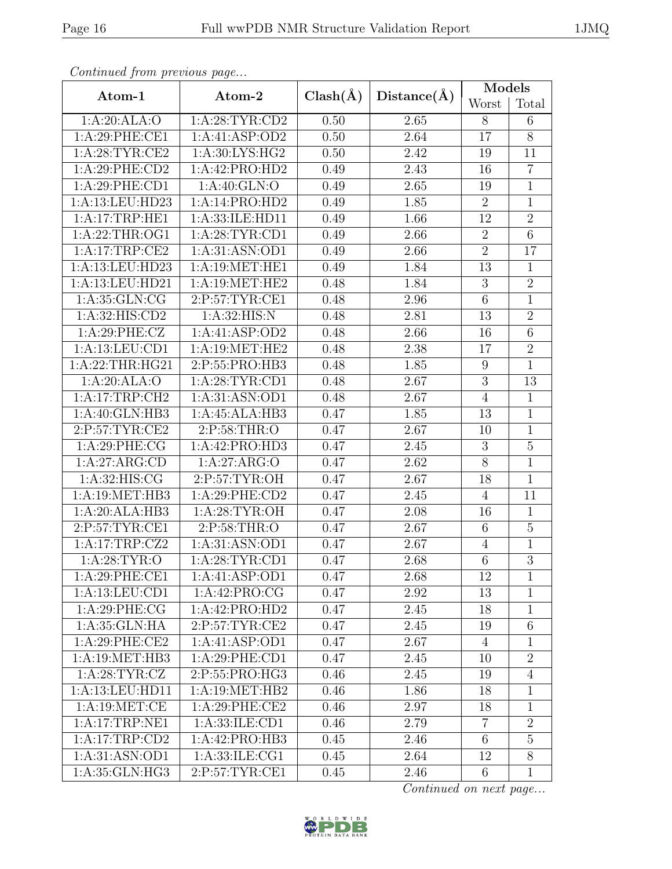| Continued from previous page |                    |              |                   | Models           |                |
|------------------------------|--------------------|--------------|-------------------|------------------|----------------|
| Atom-1                       | Atom-2             | $Clash(\AA)$ | Distance(A)       | Worst            | Total          |
| 1:A:20:ALA:O                 | 1: A:28:TYR:CD2    | 0.50         | 2.65              | 8                | 6              |
| 1:A:29:PHE:CE1               | 1:A:41:ASP:OD2     | 0.50         | 2.64              | 17               | $8\,$          |
| 1: A:28:TYR:CE2              | 1: A:30: LYS: HG2  | $0.50\,$     | 2.42              | 19               | 11             |
| 1:A:29:PHE:CD2               | 1:A:42:PRO:HD2     | 0.49         | 2.43              | 16               | $\overline{7}$ |
| 1:A:29:PHE:CD1               | 1: A:40: GLN:O     | 0.49         | 2.65              | 19               | $\mathbf{1}$   |
| 1:A:13:LEU:HD23              | 1:A:14:PRO:HD2     | 0.49         | 1.85              | $\overline{2}$   | $\mathbf{1}$   |
| 1:A:17:TRP:HE1               | 1:A:33:ILE:HD11    | 0.49         | 1.66              | 12               | $\overline{2}$ |
| 1:A:22:THR:OG1               | 1: A:28:TYR:CD1    | 0.49         | 2.66              | $\overline{2}$   | $\overline{6}$ |
| 1:A:17:TRP:CE2               | 1:A:31:ASN:OD1     | 0.49         | 2.66              | $\sqrt{2}$       | 17             |
| 1:A:13:LEU:HD23              | 1:A:19:MET:HE1     | 0.49         | 1.84              | 13               | $\mathbf{1}$   |
| 1:A:13:LEU:HD21              | 1:A:19:MET:HE2     | 0.48         | 1.84              | $\boldsymbol{3}$ | $\overline{2}$ |
| 1: A: 35: GLN: CG            | 2:P:57:TYR:CE1     | 0.48         | 2.96              | 6                | $\mathbf 1$    |
| 1:A:32:HIS:CD2               | 1:A:32:HIS:N       | 0.48         | 2.81              | 13               | $\overline{2}$ |
| 1:A:29:PHE:CZ                | 1:A:41:ASP:OD2     | 0.48         | 2.66              | 16               | 6              |
| 1:A:13:LEU:CD1               | 1:A:19:MET:HE2     | 0.48         | 2.38              | 17               | $\overline{2}$ |
| 1:A:22:THR:HG21              | 2:P:55:PRO:HB3     | 0.48         | 1.85              | $\boldsymbol{9}$ | $\mathbf 1$    |
| 1:A:20:ALA:O                 | 1: A:28:TYR:CD1    | 0.48         | 2.67              | $\mathbf{3}$     | 13             |
| 1:A:17:TRP:CH2               | 1:A:31:ASN:OD1     | 0.48         | 2.67              | $\overline{4}$   | $\mathbf{1}$   |
| 1:A:40:GLN:HB3               | 1:A:45:ALA:HB3     | 0.47         | 1.85              | 13               | $\mathbf{1}$   |
| 2:P:57:TYR:CE2               | 2:P:58:THR:O       | 0.47         | 2.67              | 10               | $\mathbf{1}$   |
| 1: A:29:PHE:CG               | 1:A:42:PRO:HD3     | 0.47         | 2.45              | 3                | $\overline{5}$ |
| 1:A:27:ARG:CD                | 1:A:27:ARG:O       | 0.47         | 2.62              | 8                | $\mathbf{1}$   |
| 1: A:32: HIS: CG             | 2:P:57:TYR:OH      | 0.47         | 2.67              | 18               | $\overline{1}$ |
| 1: A:19: MET:HB3             | 1:A:29:PHE:CD2     | 0.47         | 2.45              | $\overline{4}$   | 11             |
| 1:A:20:ALA:HB3               | 1: A:28:TYR:OH     | 0.47         | 2.08              | 16               | $\mathbf{1}$   |
| 2:P:57:TYR:CE1               | 2:P:58:THR:O       | 0.47         | 2.67              | $6\phantom{.}6$  | $\mathbf 5$    |
| 1:A:17:TRP:CZ2               | 1:A:31:ASN:OD1     | 0.47         | 2.67              | $\overline{4}$   | $\mathbf{1}$   |
| 1: A:28:TYR:O                | 1:A:28:TYR:CD1     | 0.47         | $\overline{2.68}$ | $\overline{6}$   | $\overline{3}$ |
| 1:A:29:PHE:CE1               | 1:A:41:ASP:OD1     | 0.47         | 2.68              | 12               | 1              |
| 1:A:13:LEU:CD1               | 1:A:42:PRO:CG      | 0.47         | 2.92              | 13               | 1              |
| 1:A:29:PHE:CG                | 1:A:42:PRO:HD2     | 0.47         | 2.45              | 18               | $\mathbf{1}$   |
| 1: A:35: GLN: HA             | 2:P:57:TYR:CE2     | 0.47         | 2.45              | 19               | $\,6\,$        |
| 1:A:29:PHE:CE2               | 1:A:41:ASP:OD1     | 0.47         | 2.67              | $\overline{4}$   | $\mathbf{1}$   |
| 1: A:19: MET:HB3             | 1:A:29:PHE:CD1     | 0.47         | 2.45              | 10               | $\sqrt{2}$     |
| 1: A:28:TYR:CZ               | 2:P:55:PRO:HG3     | 0.46         | 2.45              | 19               | $\overline{4}$ |
| 1:A:13:LEU:HD11              | 1:A:19:MET:HB2     | 0.46         | 1.86              | 18               | $\mathbf{1}$   |
| 1: A:19: MET:CE              | 1:A:29:PHE:CE2     | 0.46         | 2.97              | 18               | $\mathbf{1}$   |
| 1:A:17:TRP:NE1               | 1: A: 33: ILE: CD1 | 0.46         | 2.79              | $\overline{7}$   | $\overline{2}$ |
| 1:A:17:TRP:CD2               | 1:A:42:PRO:HB3     | 0.45         | 2.46              | 6                | $\bf 5$        |
| 1: A:31:ASN:OD1              | 1: A: 33: ILE: CG1 | 0.45         | 2.64              | 12               | 8              |
| 1:A:35:GLN:HG3               | 2:P:57:TYR:CE1     | 0.45         | 2.46              | 6                | $\mathbf{1}$   |

Continued from previous page...

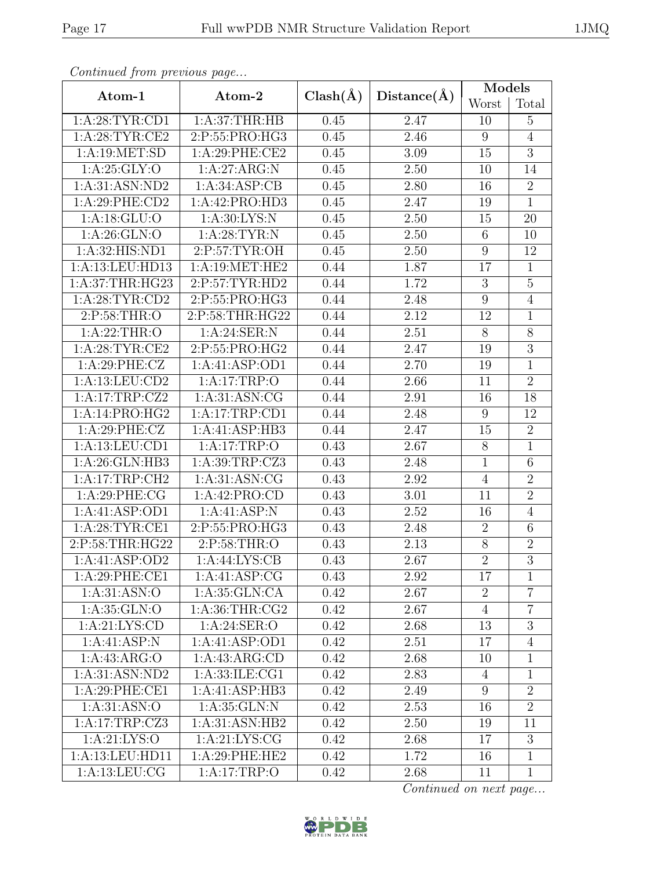| Continuea from previous page |                    |              |                   | $\text{Mode}\overline{\text{ls}}$ |                  |
|------------------------------|--------------------|--------------|-------------------|-----------------------------------|------------------|
| Atom-1                       | Atom-2             | $Clash(\AA)$ | Distance(A)       | Worst                             | Total            |
| 1: A:28:TYR:CD1              | 1: A:37:THR:HB     | 0.45         | 2.47              | 10                                | $\overline{5}$   |
| 1: A:28:TYR:CE2              | 2:P:55:PRO:HG3     | 0.45         | 2.46              | $9\phantom{.0}$                   | $\overline{4}$   |
| 1:A:19:MET:SD                | 1:A:29:PHE:CE2     | 0.45         | 3.09              | 15                                | $\overline{3}$   |
| 1: A:25: GLY:O               | 1:A:27:ARG:N       | 0.45         | 2.50              | 10                                | 14               |
| 1:A:31:ASN:ND2               | 1: A:34: ASP:CB    | 0.45         | 2.80              | 16                                | $\overline{2}$   |
| 1:A:29:PHE:CD2               | 1:A:42:PRO:HD3     | 0.45         | 2.47              | 19                                | $\mathbf{1}$     |
| 1: A:18: GLU:O               | 1: A:30: LYS:N     | 0.45         | 2.50              | 15                                | 20               |
| 1: A:26: GLN:O               | 1: A:28:TYR:N      | 0.45         | 2.50              | 6                                 | 10               |
| 1:A:32:HIS:ND1               | 2:P:57:TYR:OH      | 0.45         | 2.50              | $\boldsymbol{9}$                  | 12               |
| 1:A:13:LEU:HD13              | 1:A:19:MET:HE2     | 0.44         | 1.87              | 17                                | $\mathbf{1}$     |
| 1:A:37:THR:HG23              | 2:P:57:TYR:HD2     | 0.44         | 1.72              | $\sqrt{3}$                        | $\overline{5}$   |
| 1: A:28:TYR:CD2              | 2:P:55:PRO:HG3     | 0.44         | 2.48              | $\boldsymbol{9}$                  | $\overline{4}$   |
| 2:P:58:THR:O                 | 2:P:58:THR:HG22    | 0.44         | 2.12              | 12                                | $\mathbf{1}$     |
| 1: A:22:THR:O                | 1:A:24:SER:N       | 0.44         | 2.51              | 8                                 | 8                |
| 1: A:28:TYR:CE2              | 2:P:55:PRO:HG2     | 0.44         | 2.47              | 19                                | 3                |
| 1: A:29:PHE: CZ              | 1:A:41:ASP:OD1     | 0.44         | 2.70              | 19                                | $\mathbf 1$      |
| 1:A:13:LEU:CD2               | 1:A:17:TRP:O       | 0.44         | 2.66              | 11                                | $\overline{2}$   |
| 1:A:17:TRP:CZ2               | 1: A:31: ASN: CG   | 0.44         | 2.91              | 16                                | 18               |
| 1:A:14:PRO:HG2               | 1:A:17:TRP:CD1     | 0.44         | 2.48              | $\boldsymbol{9}$                  | 12               |
| 1: A:29:PHE: CZ              | 1:A:41:ASP:HB3     | 0.44         | 2.47              | 15                                | $\boldsymbol{2}$ |
| 1:A:13:LEU:CD1               | 1:A:17:TRP:O       | 0.43         | 2.67              | $8\,$                             | $\mathbf{1}$     |
| 1:A:26:GLN:HB3               | 1:A:39:TRP:CZ3     | 0.43         | 2.48              | $\mathbf{1}$                      | $\,6\,$          |
| 1:A:17:TRP:CH2               | 1: A:31: ASN: CG   | 0.43         | 2.92              | $\overline{4}$                    | $\overline{2}$   |
| 1: A:29:PHE:CG               | 1:A:42:PRO:CD      | 0.43         | $\overline{3.01}$ | 11                                | $\overline{2}$   |
| 1:A:41:ASP:OD1               | 1:A:41:ASP:N       | 0.43         | 2.52              | 16                                | $\overline{4}$   |
| 1: A:28:TYR:CE1              | 2:P:55:PRO:HG3     | 0.43         | 2.48              | $\overline{2}$                    | 6                |
| 2:P:58:THR:HG22              | 2:P:58:THR:O       | 0.43         | 2.13              | $8\,$                             | $\overline{2}$   |
| 1:A:41:ASP:OD2               | 1: A:44: LYS: CB   | 0.43         | $2.67\,$          | $\overline{2}$                    | $\overline{3}$   |
| 1:A:29:PHE:CE1               | 1:A:41:ASP:CG      | 0.43         | 2.92              | 17                                | $\mathbf{1}$     |
| 1: A:31: ASN:O               | 1: A:35: GLN:CA    | 0.42         | 2.67              | $\overline{2}$                    | $\overline{7}$   |
| 1: A:35: GLN:O               | 1: A:36:THR:CG2    | 0.42         | 2.67              | $\overline{4}$                    | $\overline{7}$   |
| 1: A:21: LYS:CD              | 1: A:24: SER:O     | 0.42         | 2.68              | 13                                | 3                |
| 1:A:41:ASP:N                 | 1:A:41:ASP:OD1     | 0.42         | 2.51              | 17                                | $\overline{4}$   |
| 1: A: 43: ARG: O             | 1:A:43:ARG:CD      | 0.42         | 2.68              | 10                                | $\mathbf{1}$     |
| 1: A:31: ASN: ND2            | 1: A: 33: ILE: CG1 | 0.42         | 2.83              | $\overline{4}$                    | $\mathbf{1}$     |
| 1: A:29:PHE:CE1              | 1:A:41:ASP:HB3     | 0.42         | 2.49              | $9\phantom{.0}$                   | $\overline{2}$   |
| 1: A:31: ASN:O               | 1: A:35: GLN:N     | 0.42         | 2.53              | 16                                | $\overline{2}$   |
| 1:A:17:TRP:CZ3               | 1:A:31:ASN:HB2     | 0.42         | 2.50              | 19                                | 11               |
| 1: A:21: LYS:O               | 1: A:21: LYS: CG   | 0.42         | 2.68              | 17                                | $\mathfrak{Z}$   |
| 1:A:13:LEU:HD11              | 1:A:29:PHE:HE2     | 0.42         | 1.72              | 16                                | $\mathbf{1}$     |
| 1:A:13:LEU:CG                | 1: A:17:TRP:O      | 0.42         | 2.68              | 11                                | $\mathbf{1}$     |

Continued from previous page.

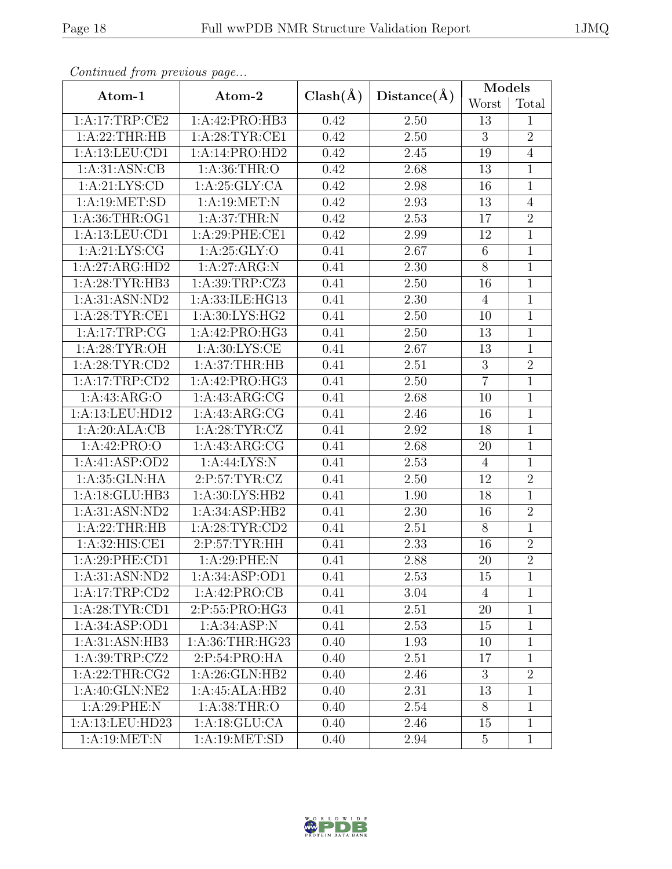| × |  |
|---|--|
|---|--|

| Continued from previous page |                            |                   |                   |                 |                |
|------------------------------|----------------------------|-------------------|-------------------|-----------------|----------------|
| Atom-1                       | Atom-2                     | $Clash(\AA)$      | Distance(A)       | Models          |                |
|                              |                            |                   |                   | Worst           | Total          |
| 1:A:17:TRP:CE2               | 1:A:42:PRO:HB3             | 0.42              | 2.50              | 13              | $\mathbf{1}$   |
| 1:A:22:THR:HB                | 1: A:28:TYR:CE1            | 0.42              | 2.50              | 3               | $\overline{2}$ |
| 1: A: 13: LEU: CD1           | 1:A:14:PRO:HD2             | 0.42              | 2.45              | 19              | $\overline{4}$ |
| 1:A:31:ASN:CB                | 1: A:36:THR:O              | 0.42              | 2.68              | 13              | $\mathbf{1}$   |
| 1: A:21: LYS:CD              | 1:A:25:GLY:CA              | 0.42              | 2.98              | 16              | $\mathbf{1}$   |
| 1: A:19: MET:SD              | 1:A:19:MET:N               | 0.42              | $\overline{2.93}$ | 13              | $\overline{4}$ |
| 1:A:36:THR:OG1               | 1: A:37:THR:N              | 0.42              | 2.53              | 17              | $\overline{2}$ |
| 1:A:13:LEU:CD1               | 1:A:29:PHE:CE1             | 0.42              | 2.99              | 12              | $\mathbf{1}$   |
| 1: A:21: LYS: CG             | 1: A:25: GLY:O             | 0.41              | 2.67              | $6\phantom{.}6$ | $\mathbf 1$    |
| 1:A:27:ARG:HD2               | 1:A:27:ARG:N               | 0.41              | 2.30              | $8\,$           | $\mathbf{1}$   |
| 1:A:28:TYR:HB3               | 1:A:39:TRP:CZ3             | 0.41              | 2.50              | 16              | $\mathbf{1}$   |
| 1:A:31:ASN:ND2               | 1:A:33:ILE:HG13            | 0.41              | 2.30              | $\overline{4}$  | $\mathbf 1$    |
| 1: A:28:TYR:CE1              | 1: A:30: LYS: HG2          | 0.41              | 2.50              | 10              | $\mathbf 1$    |
| 1:A:17:TRP:CG                | 1:A:42:PRO:HG3             | 0.41              | 2.50              | 13              | $\mathbf{1}$   |
| 1: A:28:TYR:OH               | 1: A:30: LYS: CE           | 0.41              | 2.67              | 13              | $\mathbf{1}$   |
| 1: A:28:TYR:CD2              | 1:A:37:THR:HB              | 0.41              | 2.51              | $\overline{3}$  | $\overline{2}$ |
| 1:A:17:TRP:CD2               | 1:A:42:PRO:HG3             | 0.41              | 2.50              | $\overline{7}$  | $\mathbf 1$    |
| 1: A: 43: ARG: O             | $1:A:43:A\overline{RG:CG}$ | 0.41              | 2.68              | 10              | $\mathbf{1}$   |
| 1:A:13:LEU:HD12              | 1:A:43:ARG:CG              | 0.41              | 2.46              | 16              | $\mathbf{1}$   |
| 1:A:20:ALA:CB                | 1: A:28:TYR:CZ             | 0.41              | 2.92              | 18              | $\mathbf{1}$   |
| 1:A:42:PRO:O                 | 1:A:43:ARG:CG              | 0.41              | 2.68              | 20              | 1              |
| 1:A:41:ASP:OD2               | 1: A:44: LYS: N            | 0.41              | 2.53              | 4               | $\mathbf{1}$   |
| 1:A:35:GLN:HA                | 2:P:57:TYR:CZ              | 0.41              | 2.50              | 12              | $\overline{2}$ |
| 1:A:18:GLU:HB3               | 1:A:30:LYS:HB2             | 0.41              | 1.90              | 18              | $\mathbf{1}$   |
| 1:A:31:ASN:ND2               | 1:A:34:ASP:HB2             | 0.41              | 2.30              | 16              | $\overline{2}$ |
| 1:A:22:THR:HB                | 1:A:28:TYR:CD2             | 0.41              | 2.51              | 8               | $\overline{1}$ |
| 1:A:32:HIS:CE1               | 2:P:57:TYR:HH              | 0.41              | 2.33              | 16              | $\overline{2}$ |
| 1:A:29:PHE:CD1               | 1:A:29:PHE:N               | 0.41              | $2.88\,$          | $20\,$          | $\overline{2}$ |
| 1: A:31: ASN: ND2            | 1:A:34:ASP:OD1             | 0.41              | 2.53              | 15              | $\mathbf{1}$   |
| 1:A:17:TRP:CD2               | 1:A:42:PRO:CB              | 0.41              | 3.04              | 4               | $\mathbf{1}$   |
| 1:A:28:TYR:CD1               | 2:P:55:PRO:HG3             | $0.\overline{41}$ | 2.51              | $20\,$          | $\mathbf{1}$   |
| 1:A:34:ASP:OD1               | 1: A:34: ASP:N             | 0.41              | 2.53              | 15              | 1              |
| 1:A:31:ASN:HB3               | 1:A:36:THR:HG23            | 0.40              | 1.93              | 10              | $\mathbf{1}$   |
| 1: A:39:TRP: CZ2             | 2:P:54:PRO:HA              | 0.40              | 2.51              | 17              | $\mathbf{1}$   |
| 1: A:22:THR:CG2              | 1:A:26:GLN:HB2             | 0.40              | 2.46              | 3               | $\overline{2}$ |
| 1:A:40:GLN:NE2               | 1:A:45:ALA:HB2             | 0.40              | 2.31              | 13              | $\mathbf 1$    |
| 1:A:29:PHE:N                 | 1:A:38:THR:O               | 0.40              | 2.54              | 8               | $\mathbf{1}$   |
| 1:A:13:LEU:HD23              | 1: A:18: GLU:CA            | 0.40              | 2.46              | 15              | $\mathbf{1}$   |
| 1: A:19: MET: N              | 1:A:19:MET:SD              | 0.40              | 2.94              | $5^{\circ}$     | $\mathbf{1}$   |
|                              |                            |                   |                   |                 |                |

Continued from previous page...

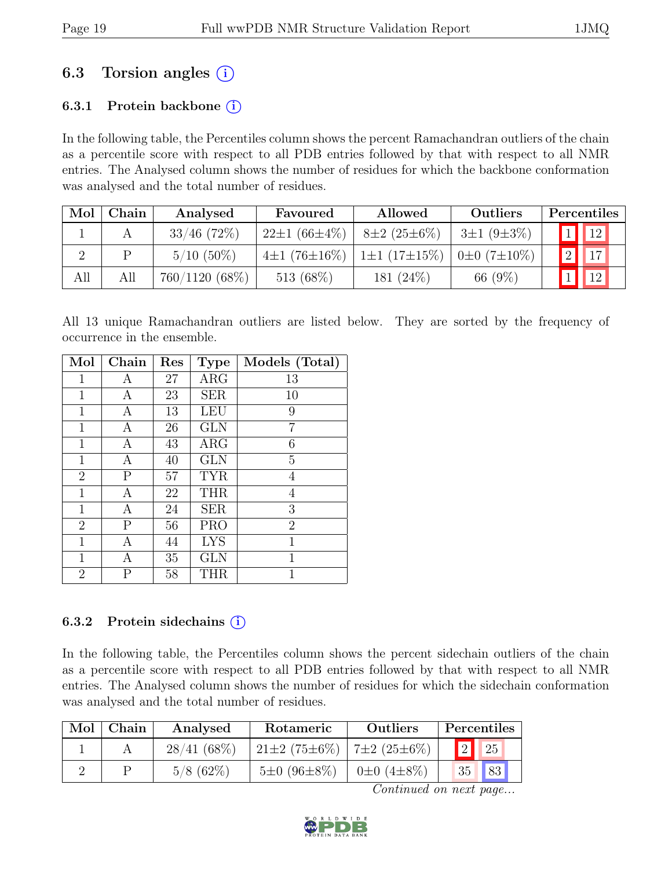# 6.3 Torsion angles  $(i)$

#### 6.3.1 Protein backbone  $(i)$

In the following table, the Percentiles column shows the percent Ramachandran outliers of the chain as a percentile score with respect to all PDB entries followed by that with respect to all NMR entries. The Analysed column shows the number of residues for which the backbone conformation was analysed and the total number of residues.

| Mol | Chain | Analysed         | Favoured           | Allowed                         | Outliers         | Percentiles     |
|-----|-------|------------------|--------------------|---------------------------------|------------------|-----------------|
|     |       | $33/46$ (72\%)   | $22\pm1(66\pm4\%)$ | $8\pm2(25\pm6\%)$               | $3\pm1(9\pm3\%)$ | $\sqrt{12}$     |
|     |       | $5/10(50\%)$     | $4\pm1(76\pm16\%)$ | $1\pm1(17\pm15\%)$ 0±0 (7±10\%) |                  | $\sqrt{2}$   17 |
| All | All   | $760/1120(68\%)$ | 513 $(68\%)$       | 181 $(24\%)$                    | 66 (9%)          | $\boxed{12}$    |

All 13 unique Ramachandran outliers are listed below. They are sorted by the frequency of occurrence in the ensemble.

| Mol            | Chain        | Res | <b>Type</b> | Models (Total) |
|----------------|--------------|-----|-------------|----------------|
| $\mathbf{1}$   | A            | 27  | $\rm{ARG}$  | 13             |
| $\mathbf{1}$   | А            | 23  | <b>SER</b>  | 10             |
| $\mathbf{1}$   | А            | 13  | LEU         | 9              |
| 1              | А            | 26  | <b>GLN</b>  | 7              |
| $\mathbf{1}$   | Α            | 43  | ARG         | 6              |
| $\mathbf{1}$   | А            | 40  | <b>GLN</b>  | 5              |
| $\overline{2}$ | $\mathbf{P}$ | 57  | <b>TYR</b>  | 4              |
| $\mathbf{1}$   | Α            | 22  | <b>THR</b>  | 4              |
| $\mathbf{1}$   | Α            | 24  | <b>SER</b>  | 3              |
| $\overline{2}$ | $\mathbf{P}$ | 56  | <b>PRO</b>  | $\overline{2}$ |
| $\mathbf 1$    | Α            | 44  | <b>LYS</b>  | 1              |
| $\mathbf{1}$   | А            | 35  | <b>GLN</b>  | 1              |
| $\overline{2}$ | Ρ            | 58  | <b>THR</b>  | 1              |

#### 6.3.2 Protein sidechains  $(i)$

In the following table, the Percentiles column shows the percent sidechain outliers of the chain as a percentile score with respect to all PDB entries followed by that with respect to all NMR entries. The Analysed column shows the number of residues for which the sidechain conformation was analysed and the total number of residues.

| Mol | Chain | Analysed     | Rotameric                              | Outliers              |    | Percentiles |
|-----|-------|--------------|----------------------------------------|-----------------------|----|-------------|
|     |       | 28/41(68%)   | $21\pm2(75\pm6\%)$   $7\pm2(25\pm6\%)$ |                       |    | 25          |
|     |       | $5/8$ (62\%) | $5\pm0.06\pm8\%$                       | $0\pm 0$ $(4\pm 8\%)$ | 35 | 83          |

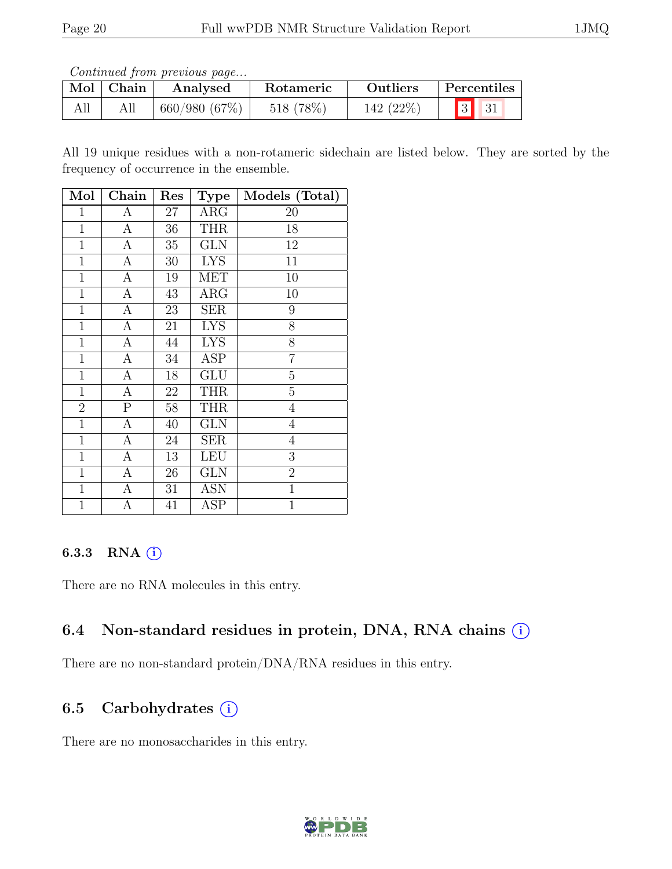Continued from previous page...

| Mol   Chain | Analysed     | <b>Rotameric</b> | <b>Outliers</b> | Percentiles                                                  |
|-------------|--------------|------------------|-----------------|--------------------------------------------------------------|
|             | 660/980(67%) | 518 (78%)        | 142 (22%)       | $\begin{array}{ c c c } \hline 3 & 31 \\ \hline \end{array}$ |

All 19 unique residues with a non-rotameric sidechain are listed below. They are sorted by the frequency of occurrence in the ensemble.

| Mol            | Chain                   | Res    | <b>Type</b>           | Models (Total) |
|----------------|-------------------------|--------|-----------------------|----------------|
| $\mathbf{1}$   | А                       | 27     | ARG                   | 20             |
| $\mathbf 1$    | А                       | 36     | <b>THR</b>            | 18             |
| $\mathbf{1}$   | А                       | $35\,$ | <b>GLN</b>            | 12             |
| $\mathbf{1}$   | А                       | 30     | <b>LYS</b>            | 11             |
| $\mathbf{1}$   | A                       | 19     | <b>MET</b>            | 10             |
| $\mathbf{1}$   | $\overline{\rm A}$      | 43     | $\overline{\rm{ARG}}$ | 10             |
| $\mathbf{1}$   | $\boldsymbol{A}$        | 23     | <b>SER</b>            | 9              |
| 1              | А                       | 21     | <b>LYS</b>            | 8              |
| $\mathbf{1}$   | $\overline{A}$          | 44     | <b>LYS</b>            | $\overline{8}$ |
| $\mathbf{1}$   | А                       | 34     | ASP                   | $\overline{7}$ |
| $\mathbf 1$    | А                       | 18     | GLU                   | $\overline{5}$ |
| $\mathbf{1}$   | А                       | 22     | <b>THR</b>            | $\overline{5}$ |
| $\overline{2}$ | $\overline{\mathrm{P}}$ | 58     | <b>THR</b>            | $\overline{4}$ |
| $\mathbf{1}$   | А                       | 40     | GLN                   | $\overline{4}$ |
| $\mathbf{1}$   | А                       | 24     | <b>SER</b>            | $\overline{4}$ |
| $\mathbf{1}$   | А                       | 13     | LEU                   | $\overline{3}$ |
| $\mathbf{1}$   | А                       | 26     | <b>GLN</b>            | $\overline{2}$ |
| $\mathbf 1$    | А                       | 31     | ASN                   | $\mathbf{1}$   |
| $\mathbf{1}$   | А                       | 41     | $\operatorname{ASP}$  | $\mathbf{1}$   |

### 6.3.3 RNA  $(i)$

There are no RNA molecules in this entry.

## 6.4 Non-standard residues in protein, DNA, RNA chains  $(i)$

There are no non-standard protein/DNA/RNA residues in this entry.

## 6.5 Carbohydrates  $(i)$

There are no monosaccharides in this entry.

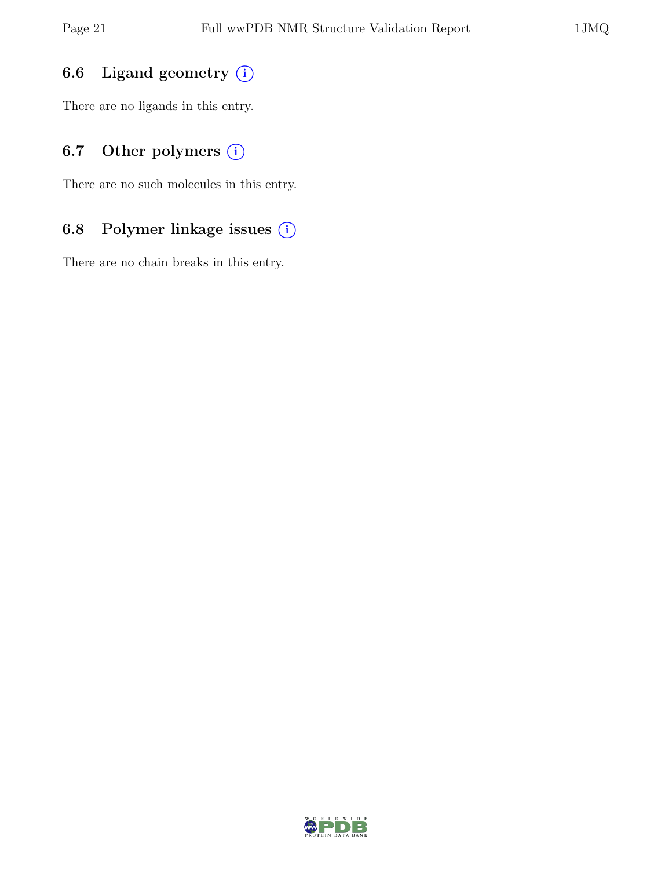### 6.6 Ligand geometry  $(i)$

There are no ligands in this entry.

## 6.7 Other polymers  $(i)$

There are no such molecules in this entry.

### 6.8 Polymer linkage issues (i)

There are no chain breaks in this entry.